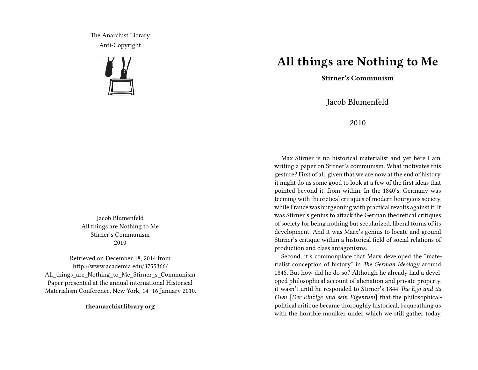The Anarchist Library Anti-Copyright



Jacob Blumenfeld All things are Nothing to Me Stirner's Communism 2010

Retrieved on December 18, 2014 from http://www.academia.edu/3755366/ All\_things\_are\_Nothing\_to\_Me\_Stirner\_s\_Communism Paper presented at the annual international Historical Materialism Conference, New York, 14–16 January 2010.

**theanarchistlibrary.org**

## **All things are Nothing to Me**

**Stirner's Communism**

Jacob Blumenfeld

2010

Max Stirner is no historical materialist and yet here I am, writing a paper on Stirner's communism. What motivates this gesture? First of all, given that we are now at the end of history, it might do us some good to look at a few of the first ideas that pointed beyond it, from within. In the 1840's, Germany was teeming with theoretical critiques of modern bourgeois society, while France was burgeoning with practical revolts against it. It was Stirner's genius to attack the German theoretical critiques of society for being nothing but secularized, liberal forms of its development. And it was Marx's genius to locate and ground Stirner's critique within a historical field of social relations of production and class antagonisms.

Second, it's commonplace that Marx developed the "materialist conception of history" in *The German Ideology* around 1845. But how did he do so? Although he already had a developed philosophical account of alienation and private property, it wasn't until he responded to Stirner's 1844 *The Ego and its Own* [*Der Einzige und sein Eigentum*] that the philosophicalpolitical critique became thoroughly historical, bequeathing us with the horrible moniker under which we still gather today,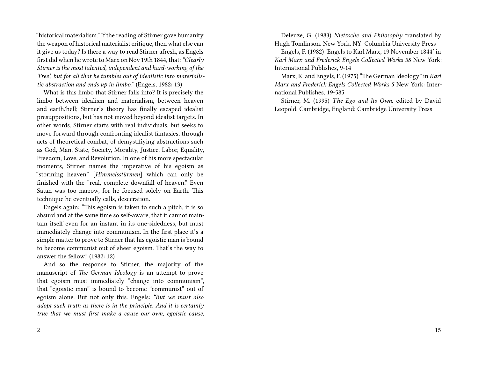"historical materialism." If the reading of Stirner gave humanity the weapon of historical materialist critique, then what else can it give us today? Is there a way to read Stirner afresh, as Engels first did when he wrote to Marx on Nov 19th 1844, that:*"Clearly Stirner is the most talented, independent and hard-working of the 'Free', but for all that he tumbles out of idealistic into materialistic abstraction and ends up in limbo."* (Engels, 1982: 13)

What is this limbo that Stirner falls into? It is precisely the limbo between idealism and materialism, between heaven and earth/hell; Stirner's theory has finally escaped idealist presuppositions, but has not moved beyond idealist targets. In other words, Stirner starts with real individuals, but seeks to move forward through confronting idealist fantasies, through acts of theoretical combat, of demystifiying abstractions such as God, Man, State, Society, Morality, Justice, Labor, Equality, Freedom, Love, and Revolution. In one of his more spectacular moments, Stirner names the imperative of his egoism as "storming heaven" [*Himmelsstürmen*] which can only be finished with the "real, complete downfall of heaven." Even Satan was too narrow, for he focused solely on Earth. This technique he eventually calls, desecration.

Engels again: "This egoism is taken to such a pitch, it is so absurd and at the same time so self-aware, that it cannot maintain itself even for an instant in its one-sidedness, but must immediately change into communism. In the first place it's a simple matter to prove to Stirner that his egoistic man is bound to become communist out of sheer egoism. That's the way to answer the fellow." (1982: 12)

And so the response to Stirner, the majority of the manuscript of *The German Ideology* is an attempt to prove that egoism must immediately "change into communism", that "egoistic man" is bound to become "communist" out of egoism alone. But not only this. Engels: *"But we must also adopt such truth as there is in the principle. And it is certainly true that we must first make a cause our own, egoistic cause,*

Deleuze, G. (1983) *Nietzsche and Philosophy* translated by Hugh Tomlinson. New York, NY: Columbia University Press

Engels, F. (1982) 'Engels to Karl Marx, 19 November 1844' in *Karl Marx and Frederick Engels Collected Works 38* New York: International Publishes, 9-14

Marx, K. and Engels, F. (1975) "The German Ideology" in *Karl Marx and Frederick Engels Collected Works 5* New York: International Publishes, 19-585

Stirner, M. (1995) *T he Ego and Its Own*. edited by David Leopold. Cambridge, England: Cambridge University Press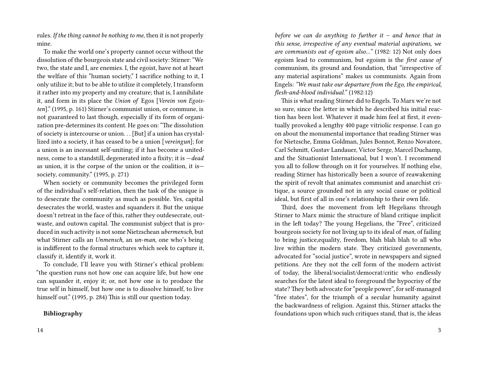rules. *If the thing cannot be nothing to me*, then it is not properly mine.

To make the world one's property cannot occur without the dissolution of the bourgeois state and civil society: Stirner: "We two, the state and I, are enemies. I, the egoist, have not at heart the welfare of this "human society," I sacrifice nothing to it, I only utilize it; but to be able to utilize it completely, I transform it rather into my property and my creature; that is, I annihilate it, and form in its place the *Union of* Egos [*Verein von Egoisten*]." (1995, p. 161) Stirner's communist union, or commune, is not guaranteed to last though, especially if its form of organization pre-determines its content. He goes on: "The dissolution of society is intercourse or union. . . [But] if a union has crystallized into a society, it has ceased to be a union [*vereingun*]; for a union is an incessant self-uniting; if it has become a unitedness, come to a standstill, degenerated into a fixity; it is —*dead* as union, it is the corpse of the union or the coalition, it is society, community." (1995, p. 271)

When society or community becomes the privileged form of the individual's self-relation, then the task of the unique is to desecrate the community as much as possible. Yes, capital desecrates the world, wastes and squanders it. But the unique doesn't retreat in the face of this, rather they outdesecrate, outwaste, and outown capital. The communist subject that is produced in such activity is not some Nietzschean *ubermensch*, but what Stirner calls an *Unmensch*, an *un-man*, one who's being is indifferent to the formal structures which seek to capture it, classify it, identify it, work it.

To conclude, I'll leave you with Stirner's ethical problem: "the question runs not how one can acquire life, but how one can squander it, enjoy it; or, not how one is to produce the true self in himself, but how one is to dissolve himself, to live himself out." (1995, p. 284) This is still our question today.

## **Bibliography**

*before we can do anything to further it – and hence that in this sense, irrespective of any eventual material aspirations, we are communists out of egoism also…"* (1982: 12) Not only does egoism lead to communism, but egoism is the *first cause of* communism, its ground and foundation, that "irrespective of any material aspirations" makes us communists. Again from Engels: *"We must take our departure from the Ego, the empirical, flesh-and-blood individual."* (1982:12)

This is what reading Stirner did to Engels. To Marx we're not so sure, since the letter in which he described his initial reaction has been lost. Whatever it made him feel at first, it eventually provoked a lengthy 400 page vitriolic response. I can go on about the monumental importance that reading Stirner was for Nietzsche, Emma Goldman, Jules Bonnot, Renzo Novatore, Carl Schmitt, Gustav Landauer, Victor Serge, Marcel Duchamp, and the Situationist International, but I won't. I recommend you all to follow through on it for yourselves. If nothing else, reading Stirner has historically been a source of reawakening the spirit of revolt that animates communist and anarchist critique, a source grounded not in any social cause or political ideal, but first of all in one's relationship to their own life.

Third, does the movement from left Hegelians through Stirner to Marx mimic the structure of bland critique implicit in the left today? The young Hegelians, the "Free", criticized bourgeois society for not living up to its ideal of *man*, of failing to bring justice,equality, freedom, blah blah blah to all who live within the modern state. They criticized governments, advocated for "social justice", wrote in newspapers and signed petitions. Are they not the cell form of the modern activist of today, the liberal/socialist/democrat/critic who endlessly searches for the latest ideal to foreground the hypocrisy of the state?They both advocate for "people power", for self-managed "free states", for the triumph of a secular humanity against the backwardness of religion. Against this, Stirner attacks the foundations upon which such critiques stand, that is, the ideas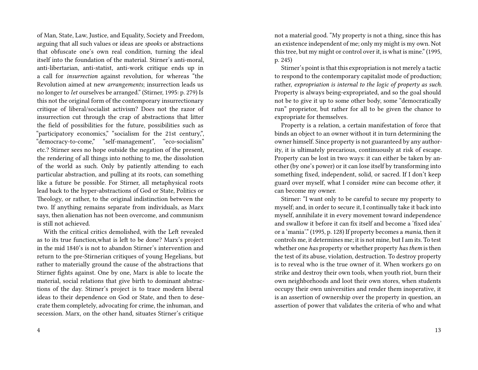of Man, State, Law, Justice, and Equality, Society and Freedom, arguing that all such values or ideas are *spooks* or abstractions that obfuscate one's own real condition, turning the ideal itself into the foundation of the material. Stirner's anti-moral, anti-libertarian, anti-statist, anti-work critique ends up in a call for *insurrection* against revolution, for whereas "the Revolution aimed at new *arrangements*; insurrection leads us no longer to *let* ourselves be arranged." (Stirner, 1995: p. 279) Is this not the original form of the contemporary insurrectionary critique of liberal/socialist activism? Does not the razor of insurrection cut through the crap of abstractions that litter the field of possibilities for the future, possibilities such as "participatory economics," "socialism for the 21st century,", "democracy-to-come," "self-management", "eco-socialism" etc.? Stirner sees no hope outside the negation of the present, the rendering of all things into nothing to me, the dissolution of the world as such. Only by patiently attending to each particular abstraction, and pulling at its roots, can something like a future be possible. For Stirner, all metaphysical roots lead back to the hyper-abstractions of God or State, Politics or Theology, or rather, to the original indistinction between the two. If anything remains separate from individuals, as Marx says, then alienation has not been overcome, and communism is still not achieved.

With the critical critics demolished, with the Left revealed as to its true function,what is left to be done? Marx's project in the mid 1840's is not to abandon Stirner's intervention and return to the pre-Stirnerian critiques of young Hegelians, but rather to materially ground the cause of the abstractions that Stirner fights against. One by one, Marx is able to locate the material, social relations that give birth to dominant abstractions of the day. Stirner's project is to trace modern liberal ideas to their dependence on God or State, and then to desecrate them completely, advocating for crime, the inhuman, and secession. Marx, on the other hand, situates Stirner's critique

4

not a material good. "My property is not a thing, since this has an existence independent of me; only my might is my own. Not this tree, but my might or control over it, is what is mine." (1995, p. 245)

Stirner's point is that this expropriation is not merely a tactic to respond to the contemporary capitalist mode of production; rather, *expropriation is internal to the logic of property as such*. Property is always being-expropriated, and so the goal should not be to give it up to some other body, some "democratically run" proprietor, but rather for all to be given the chance to expropriate for themselves.

Property is a relation, a certain manifestation of force that binds an object to an owner without it in turn determining the owner himself. Since property is not guaranteed by any authority, it is ultimately precarious, continuously at risk of escape. Property can be lost in two ways: it can either be taken by another (by one's power) or it can lose itself by transforming into something fixed, independent, solid, or sacred. If I don't keep guard over myself, what I consider *mine* can become *other*, it can become my owner.

Stirner: "I want only to be careful to secure my property to myself; and, in order to secure it, I continually take it back into myself, annihilate it in every movement toward independence and swallow it before it can fix itself and become a 'fixed idea' or a 'mania'." (1995, p. 128) If property becomes a *mania*, then it controls me, it determines me; it is not mine, but I am its. To test whether one *has* property or whether property *has them* is then the test of its abuse, violation, destruction. To destroy property is to reveal who is the true owner of it. When workers go on strike and destroy their own tools, when youth riot, burn their own neighborhoods and loot their own stores, when students occupy their own universities and render them inoperative, it is an assertion of ownership over the property in question, an assertion of power that validates the criteria of who and what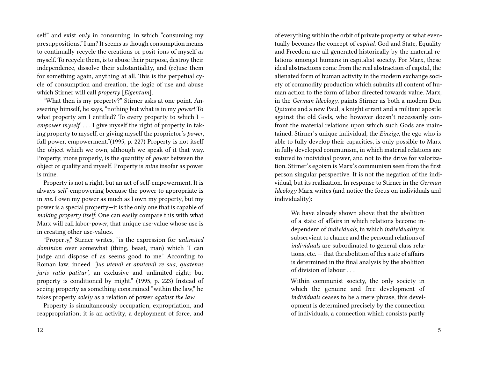self" and exist *only* in consuming, in which "consuming my presuppositions," I am? It seems as though consumption means to continually recycle the creations or posit-ions of myself *as* myself. To recycle them, is to abuse their purpose, destroy their independence, dissolve their substantiality, and (re)use them for something again, anything at all. This is the perpetual cycle of consumption and creation, the logic of use and abuse which Stirner will call *property* [*Eigentum*].

"What then is my property?" Stirner asks at one point. Answering himself, he says, "nothing but what is in my *power!* To what property am I entitled? To every property to which I – *empower myself* . . . I give myself the right of property in taking property to myself, or giving myself the proprietor's *power*, full power, empowerment."(1995, p. 227) Property is not itself the object which we own, although we speak of it that way. Property, more properly, is the quantity of *power* between the object or quality and myself. Property is *mine* insofar as power is mine.

Property is not a right, but an act of self-empowerment. It is always *self* -empowering because the power to appropriate is in *me*. I own my power as much as I own my property, but my power is a special property—it is the only one that is capable of *making property itself*. One can easily compare this with what Marx will call labor-*power*, that unique use-value whose use is in creating other use-values.

"Property," Stirner writes, "is the expression for *unlimited dominion* over somewhat (thing, beast, man) which 'I can judge and dispose of as seems good to me.' According to Roman law, indeed. *'jus utendi et abutendi re sua, quatenus juris ratio patitur'*, an exclusive and unlimited right; but property is conditioned by might." (1995, p. 223) Instead of seeing property as something constrained "within the law," he takes property *solely* as a relation of power *against the law*.

Property is simultaneously occupation, expropriation, and reappropriation; it is an activity, a deployment of force, and of everything within the orbit of private property or what eventually becomes the concept of *capital*. God and State, Equality and Freedom are all generated historically by the material relations amongst humans in capitalist society. For Marx, these ideal abstractions come from the real abstraction of capital, the alienated form of human activity in the modern exchange society of commodity production which submits all content of human action to the form of labor directed towards value. Marx, in the *German Ideology*, paints Stirner as both a modern Don Quixote and a new Paul, a knight errant and a militant apostle against the old Gods, who however doesn't necessarily confront the material relations upon which such Gods are maintained. Stirner's unique individual, the *Einzige*, the ego who is able to fully develop their capacities, is only possible to Marx in fully developed communism, in which material relations are sutured to individual power, and not to the drive for valorization. Stirner's egoism is Marx's communism seen from the first person singular perspective. It is not the negation of the individual, but its realization. In response to Stirner in the *German Ideology* Marx writes (and notice the focus on individuals and individuality):

We have already shown above that the abolition of a state of affairs in which relations become independent of *individuals*, in which *individuality* is subservient to chance and the personal relations of *individuals* are subordinated to general class relations, etc. — that the abolition of this state of affairs is determined in the final analysis by the abolition of division of labour . . .

Within communist society, the only society in which the genuine and free development of *individuals* ceases to be a mere phrase, this development is determined precisely by the connection of individuals, a connection which consists partly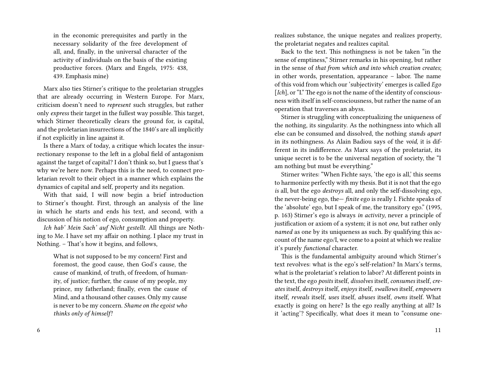in the economic prerequisites and partly in the necessary solidarity of the free development of all, and, finally, in the universal character of the activity of individuals on the basis of the existing productive forces. (Marx and Engels, 1975: 438, 439. Emphasis mine)

Marx also ties Stirner's critique to the proletarian struggles that are already occurring in Western Europe. For Marx, criticism doesn't need to *represent* such struggles, but rather only *express* their target in the fullest way possible. This target, which Stirner theoretically clears the ground for, is capital, and the proletarian insurrections of the 1840's are all implicitly if not explicitly in line against it.

Is there a Marx of today, a critique which locates the insurrectionary response to the left in a global field of antagonism against the target of capital? I don't think so, but I guess that's why we're here now. Perhaps this is the need, to connect proletarian revolt to their object in a manner which explains the dynamics of capital and self, property and its negation.

With that said, I will now begin a brief introduction to Stirner's thought. First, through an analysis of the line in which he starts and ends his text, and second, with a discussion of his notion of ego, consumption and property.

*Ich hab' Mein Sach' auf Nicht gestellt*. All things are Nothing to Me. I have set my affair on nothing. I place my trust in Nothing. – That's how it begins, and follows,

What is not supposed to be my concern! First and foremost, the good cause, then God's cause, the cause of mankind, of truth, of freedom, of humanity, of justice; further, the cause of my people, my prince, my fatherland; finally, even the cause of Mind, and a thousand other causes. Only my cause is never to be my concern. *Shame on the egoist who thinks only of himself!*

6

realizes substance, the unique negates and realizes property, the proletariat negates and realizes capital.

Back to the text. This nothingness is not be taken "in the sense of emptiness," Stirner remarks in his opening, but rather in the sense of *that from which and into which creation creates*; in other words, presentation, appearance – labor. The name of this void from which our 'subjectivity' emerges is called *Ego* [*Ich*], or "I." The ego is not the name of the identity of consciousness with itself in self-consciousness, but rather the name of an operation that traverses an abyss.

Stirner is struggling with conceptualizing the uniqueness of the nothing, its singularity. As the nothingness into which all else can be consumed and dissolved, the nothing *stands apart* in its nothingness. As Alain Badiou says of the *void*, it is different in its indifference. As Marx says of the proletariat, its unique secret is to be the universal negation of society, the "I am nothing but must be everything."

Stirner writes: "When Fichte says, 'the ego is all,' this seems to harmonize perfectly with my thesis. But it is not that the ego *is* all, but the ego *destroys* all, and only the self-dissolving ego, the never-being ego, the— *finite* ego is really I. Fichte speaks of the 'absolute' ego, but I speak of me, the transitory ego." (1995, p. 163) Stirner's ego is always *in activity*, never a principle of justification or axiom of a system; it is not *one*, but rather only *named* as one by its uniqueness as such. By qualifying this account of the name ego/I, we come to a point at which we realize it's purely *functional* character.

This is the fundamental ambiguity around which Stirner's text revolves: what is the ego's self-relation? In Marx's terms, what is the proletariat's relation to labor? At different points in the text, the ego *posits* itself, *dissolves* itself, *consumes* itself, *creates* itself, *destroys* itself, *enjoys* itself, *swallows* itself, *empowers* itself, *reveals* itself, *uses* itself, *abuses* itself, *owns* itself. What exactly is going on here? Is the ego really anything at all? Is it 'acting'? Specifically, what does it mean to "consume one-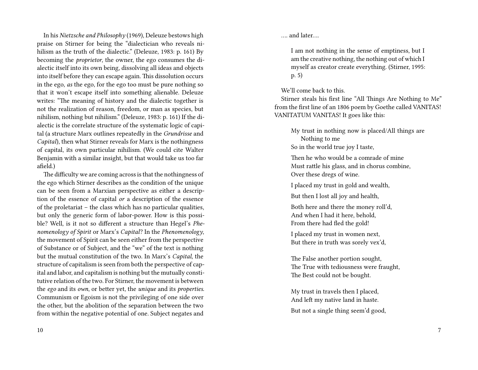In his *Nietzsche and Philosophy* (1969), Deleuze bestows high praise on Stirner for being the "dialectician who reveals nihilism as the truth of the dialectic." (Deleuze, 1983: p. 161) By becoming the *proprietor*, the owner, the ego consumes the dialectic itself into its own being, dissolving all ideas and objects into itself before they can escape again. This dissolution occurs in the ego, *as* the ego, for the ego too must be pure nothing so that it won't escape itself into something alienable. Deleuze writes: "The meaning of history and the dialectic together is not the realization of reason, freedom, or man as species, but nihilism, nothing but nihilism." (Deleuze, 1983: p. 161) If the dialectic is the correlate structure of the systematic logic of capital (a structure Marx outlines repeatedly in the *Grundrisse* and *Capital*), then what Stirner reveals for Marx is the nothingness of capital, its own particular nihilism. (We could cite Walter Benjamin with a similar insight, but that would take us too far afield.)

The difficulty we are coming across is that the nothingness of the ego which Stirner describes as the condition of the unique can be seen from a Marxian perspective as either a description of the essence of capital *or* a description of the essence of the proletariat – the class which has no particular qualities, but only the generic form of labor-power. How is this possible? Well, is it not so different a structure than Hegel's *Phenomenology of Spirit* or Marx's *Capital*? In the *Phenomenology*, the movement of Spirit can be seen either from the perspective of Substance or of Subject, and the "we" of the text is nothing but the mutual constitution of the two. In Marx's *Capital*, the structure of capitalism is seen from both the perspective of capital and labor, and capitalism is nothing but the mutually constitutive relation of the two. For Stirner, the movement is between the *ego* and its *own*, or better yet, the *unique* and its *properties*. Communism or Egoism is not the privileging of one side over the other, but the abolition of the separation between the two from within the negative potential of one. Subject negates and

…. and later….

I am not nothing in the sense of emptiness, but I am the creative nothing, the nothing out of which I myself as creator create everything. (Stirner, 1995: p. 5)

We'll come back to this.

Stirner steals his first line "All Things Are Nothing to Me" from the first line of an 1806 poem by Goethe called VANITAS! VANITATUM VANITAS! It goes like this:

My trust in nothing now is placed/All things are Nothing to me So in the world true joy I taste,

Then he who would be a comrade of mine Must rattle his glass, and in chorus combine, Over these dregs of wine.

I placed my trust in gold and wealth,

But then I lost all joy and health,

Both here and there the money roll'd, And when I had it here, behold, From there had fled the gold!

I placed my trust in women next, But there in truth was sorely vex'd,

The False another portion sought, The True with tediousness were fraught, The Best could not be bought.

My trust in travels then I placed, And left my native land in haste. But not a single thing seem'd good,